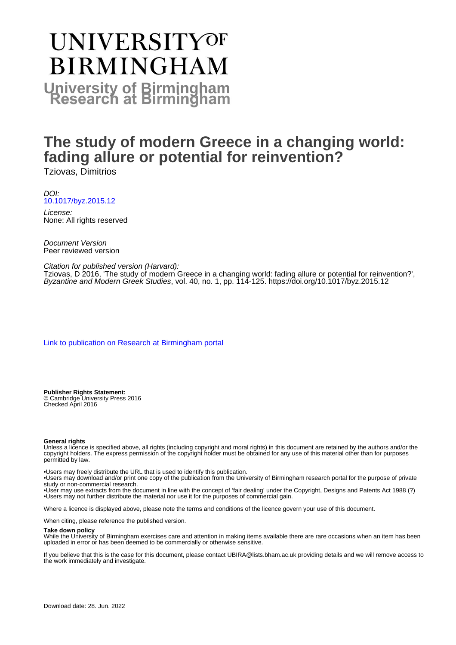# **UNIVERSITYOF BIRMINGHAM University of Birmingham**

# **The study of modern Greece in a changing world: fading allure or potential for reinvention?**

Tziovas, Dimitrios

DOI: [10.1017/byz.2015.12](https://doi.org/10.1017/byz.2015.12)

License: None: All rights reserved

Document Version Peer reviewed version

Citation for published version (Harvard):

Tziovas, D 2016, 'The study of modern Greece in a changing world: fading allure or potential for reinvention?', Byzantine and Modern Greek Studies, vol. 40, no. 1, pp. 114-125.<https://doi.org/10.1017/byz.2015.12>

[Link to publication on Research at Birmingham portal](https://birmingham.elsevierpure.com/en/publications/b29e3359-e2ff-4714-b2bd-488bdee64eeb)

**Publisher Rights Statement:** © Cambridge University Press 2016 Checked April 2016

#### **General rights**

Unless a licence is specified above, all rights (including copyright and moral rights) in this document are retained by the authors and/or the copyright holders. The express permission of the copyright holder must be obtained for any use of this material other than for purposes permitted by law.

• Users may freely distribute the URL that is used to identify this publication.

• Users may download and/or print one copy of the publication from the University of Birmingham research portal for the purpose of private study or non-commercial research.

• User may use extracts from the document in line with the concept of 'fair dealing' under the Copyright, Designs and Patents Act 1988 (?) • Users may not further distribute the material nor use it for the purposes of commercial gain.

Where a licence is displayed above, please note the terms and conditions of the licence govern your use of this document.

When citing, please reference the published version.

#### **Take down policy**

While the University of Birmingham exercises care and attention in making items available there are rare occasions when an item has been uploaded in error or has been deemed to be commercially or otherwise sensitive.

If you believe that this is the case for this document, please contact UBIRA@lists.bham.ac.uk providing details and we will remove access to the work immediately and investigate.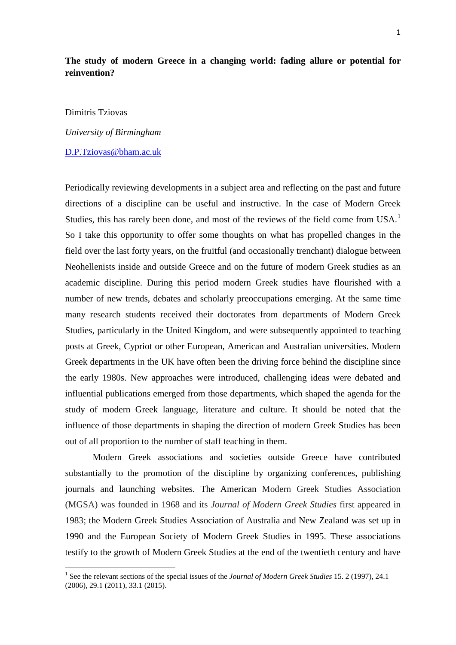# **The study of modern Greece in a changing world: fading allure or potential for reinvention?**

## Dimitris Tziovas

*University of Birmingham*

### [D.P.Tziovas@bham.ac.uk](mailto:D.P.Tziovas@bham.ac.uk)

Periodically reviewing developments in a subject area and reflecting on the past and future directions of a discipline can be useful and instructive. In the case of Modern Greek Studies, this has rarely been done, and most of the reviews of the field come from  $USA<sup>1</sup>$  $USA<sup>1</sup>$  $USA<sup>1</sup>$ So I take this opportunity to offer some thoughts on what has propelled changes in the field over the last forty years, on the fruitful (and occasionally trenchant) dialogue between Neohellenists inside and outside Greece and on the future of modern Greek studies as an academic discipline. During this period modern Greek studies have flourished with a number of new trends, debates and scholarly preoccupations emerging. At the same time many research students received their doctorates from departments of Modern Greek Studies, particularly in the United Kingdom, and were subsequently appointed to teaching posts at Greek, Cypriot or other European, American and Australian universities. Modern Greek departments in the UK have often been the driving force behind the discipline since the early 1980s. New approaches were introduced, challenging ideas were debated and influential publications emerged from those departments, which shaped the agenda for the study of modern Greek language, literature and culture. It should be noted that the influence of those departments in shaping the direction of modern Greek Studies has been out of all proportion to the number of staff teaching in them.

Modern Greek associations and societies outside Greece have contributed substantially to the promotion of the discipline by organizing conferences, publishing journals and launching websites. The American Modern Greek Studies Association (MGSA) was founded in 1968 and its *Journal of Modern Greek Studies* first appeared in 1983; the Modern Greek Studies Association of Australia and New Zealand was set up in 1990 and the European Society of Modern Greek Studies in 1995. These associations testify to the growth of Modern Greek Studies at the end of the twentieth century and have

<span id="page-1-0"></span><sup>1</sup> See the relevant sections of the special issues of the *Journal of Modern Greek Studies* 15. 2 (1997), 24.1 (2006), 29.1 (2011), 33.1 (2015).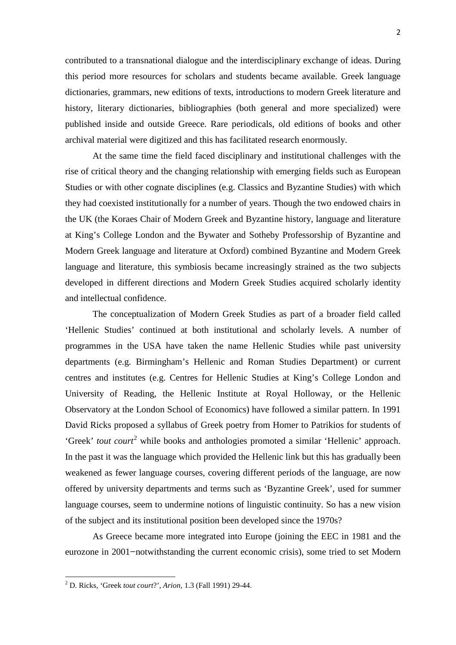contributed to a transnational dialogue and the interdisciplinary exchange of ideas. During this period more resources for scholars and students became available. Greek language dictionaries, grammars, new editions of texts, introductions to modern Greek literature and history, literary dictionaries, bibliographies (both general and more specialized) were published inside and outside Greece. Rare periodicals, old editions of books and other archival material were digitized and this has facilitated research enormously.

At the same time the field faced disciplinary and institutional challenges with the rise of critical theory and the changing relationship with emerging fields such as European Studies or with other cognate disciplines (e.g. Classics and Byzantine Studies) with which they had coexisted institutionally for a number of years. Though the two endowed chairs in the UK (the Koraes Chair of Modern Greek and Byzantine history, language and literature at King's College London and the Bywater and Sotheby Professorship of Byzantine and Modern Greek language and literature at Oxford) combined Byzantine and Modern Greek language and literature, this symbiosis became increasingly strained as the two subjects developed in different directions and Modern Greek Studies acquired scholarly identity and intellectual confidence.

The conceptualization of Modern Greek Studies as part of a broader field called 'Hellenic Studies' continued at both institutional and scholarly levels. A number of programmes in the USA have taken the name Hellenic Studies while past university departments (e.g. Birmingham's Hellenic and Roman Studies Department) or current centres and institutes (e.g. Centres for Hellenic Studies at King's College London and University of Reading, the Hellenic Institute at Royal Holloway, or the Hellenic Observatory at the London School of Economics) have followed a similar pattern. In 1991 David Ricks proposed a syllabus of Greek poetry from Homer to Patrikios for students of 'Greek' *tout court*<sup>[2](#page-2-0)</sup> while books and anthologies promoted a similar 'Hellenic' approach. In the past it was the language which provided the Hellenic link but this has gradually been weakened as fewer language courses, covering different periods of the language, are now offered by university departments and terms such as 'Byzantine Greek', used for summer language courses, seem to undermine notions of linguistic continuity. So has a new vision of the subject and its institutional position been developed since the 1970s?

As Greece became more integrated into Europe (joining the EEC in 1981 and the eurozone in 2001-notwithstanding the current economic crisis), some tried to set Modern

<span id="page-2-0"></span><sup>2</sup> D. Ricks, 'Greek *tout court*?', *Arion*, 1.3 (Fall 1991) 29-44.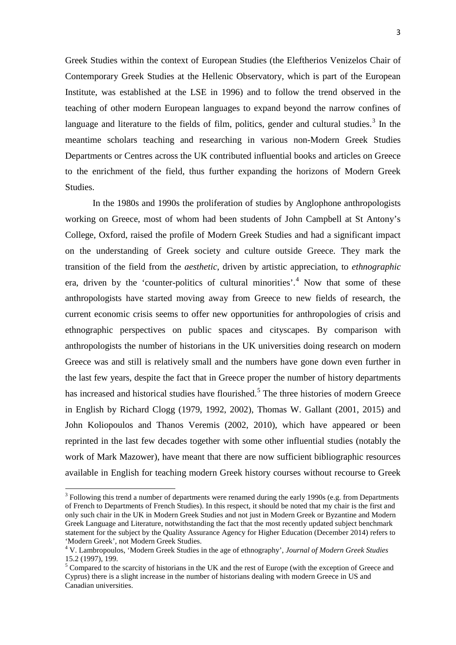Greek Studies within the context of European Studies (the Eleftherios Venizelos Chair of Contemporary Greek Studies at the Hellenic Observatory, which is part of the European Institute, was established at the LSE in 1996) and to follow the trend observed in the teaching of other modern European languages to expand beyond the narrow confines of language and literature to the fields of film, politics, gender and cultural studies.<sup>[3](#page-3-0)</sup> In the meantime scholars teaching and researching in various non-Modern Greek Studies Departments or Centres across the UK contributed influential books and articles on Greece to the enrichment of the field, thus further expanding the horizons of Modern Greek Studies.

In the 1980s and 1990s the proliferation of studies by Anglophone anthropologists working on Greece, most of whom had been students of John Campbell at St Antony's College, Oxford, raised the profile of Modern Greek Studies and had a significant impact on the understanding of Greek society and culture outside Greece. They mark the transition of the field from the *aesthetic*, driven by artistic appreciation, to *ethnographic* era, driven by the 'counter-politics of cultural minorities'.<sup>[4](#page-3-1)</sup> Now that some of these anthropologists have started moving away from Greece to new fields of research, the current economic crisis seems to offer new opportunities for anthropologies of crisis and ethnographic perspectives on public spaces and cityscapes. By comparison with anthropologists the number of historians in the UK universities doing research on modern Greece was and still is relatively small and the numbers have gone down even further in the last few years, despite the fact that in Greece proper the number of history departments has increased and historical studies have flourished.<sup>[5](#page-3-2)</sup> The three histories of modern Greece in English by Richard Clogg (1979, 1992, 2002), Thomas W. Gallant (2001, 2015) and John Koliopoulos and Thanos Veremis (2002, 2010), which have appeared or been reprinted in the last few decades together with some other influential studies (notably the work of Mark Mazower), have meant that there are now sufficient bibliographic resources available in English for teaching modern Greek history courses without recourse to Greek

<span id="page-3-0"></span> $3$  Following this trend a number of departments were renamed during the early 1990s (e.g. from Departments of French to Departments of French Studies). In this respect, it should be noted that my chair is the first and only such chair in the UK in Modern Greek Studies and not just in Modern Greek or Byzantine and Modern Greek Language and Literature, notwithstanding the fact that the most recently updated subject benchmark statement for the subject by the Quality Assurance Agency for Higher Education (December 2014) refers to 'Modern Greek', not Modern Greek Studies.

<span id="page-3-1"></span><sup>&</sup>lt;sup>4</sup> V. Lambropoulos, 'Modern Greek Studies in the age of ethnography', *Journal of Modern Greek Studies* 15.2 (1997), 199.

<span id="page-3-2"></span> $5$  Compared to the scarcity of historians in the UK and the rest of Europe (with the exception of Greece and Cyprus) there is a slight increase in the number of historians dealing with modern Greece in US and Canadian universities.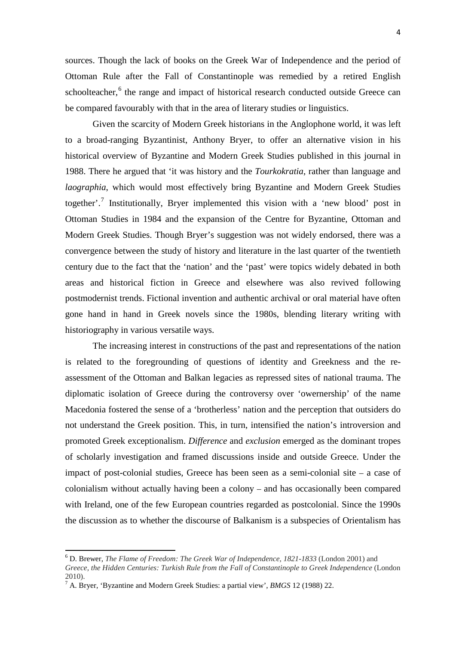sources. Though the lack of books on the Greek War of Independence and the period of Ottoman Rule after the Fall of Constantinople was remedied by a retired English schoolteacher,<sup>[6](#page-4-0)</sup> the range and impact of historical research conducted outside Greece can be compared favourably with that in the area of literary studies or linguistics.

Given the scarcity of Modern Greek historians in the Anglophone world, it was left to a broad-ranging Byzantinist, Anthony Bryer, to offer an alternative vision in his historical overview of Byzantine and Modern Greek Studies published in this journal in 1988. There he argued that 'it was history and the *Tourkokratia*, rather than language and *laographia*, which would most effectively bring Byzantine and Modern Greek Studies together'.<sup>[7](#page-4-1)</sup> Institutionally, Bryer implemented this vision with a 'new blood' post in Ottoman Studies in 1984 and the expansion of the Centre for Byzantine, Ottoman and Modern Greek Studies. Though Bryer's suggestion was not widely endorsed, there was a convergence between the study of history and literature in the last quarter of the twentieth century due to the fact that the 'nation' and the 'past' were topics widely debated in both areas and historical fiction in Greece and elsewhere was also revived following postmodernist trends. Fictional invention and authentic archival or oral material have often gone hand in hand in Greek novels since the 1980s, blending literary writing with historiography in various versatile ways.

The increasing interest in constructions of the past and representations of the nation is related to the foregrounding of questions of identity and Greekness and the reassessment of the Ottoman and Balkan legacies as repressed sites of national trauma. The diplomatic isolation of Greece during the controversy over 'owernership' of the name Macedonia fostered the sense of a 'brotherless' nation and the perception that outsiders do not understand the Greek position. This, in turn, intensified the nation's introversion and promoted Greek exceptionalism. *Difference* and *exclusion* emerged as the dominant tropes of scholarly investigation and framed discussions inside and outside Greece. Under the impact of post-colonial studies, Greece has been seen as a semi-colonial site – a case of colonialism without actually having been a colony – and has occasionally been compared with Ireland, one of the few European countries regarded as postcolonial. Since the 1990s the discussion as to whether the discourse of Balkanism is a subspecies of Orientalism has

<span id="page-4-0"></span><sup>6</sup> D. Brewer, *The Flame of Freedom: The Greek War of Independence, 1821-1833* (London 2001) and *Greece, the Hidden Centuries: Turkish Rule from the Fall of Constantinople to Greek Independence* (London 2010).

<span id="page-4-1"></span><sup>7</sup> A. Bryer, 'Byzantine and Modern Greek Studies: a partial view', *BMGS* 12 (1988) 22.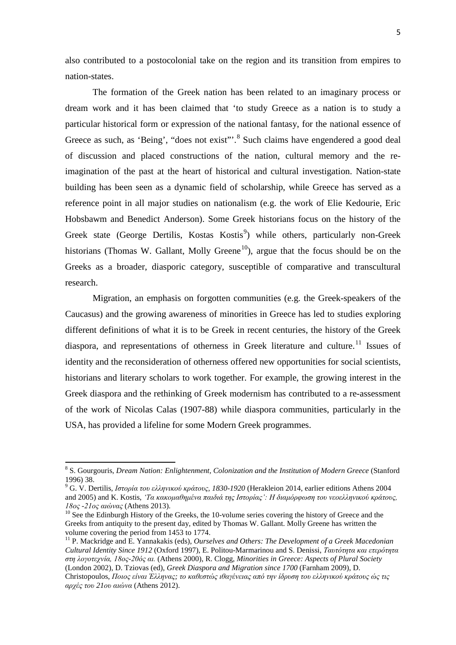also contributed to a postocolonial take on the region and its transition from empires to nation-states.

The formation of the Greek nation has been related to an imaginary process or dream work and it has been claimed that 'to study Greece as a nation is to study a particular historical form or expression of the national fantasy, for the national essence of Greece as such, as 'Being', "does not exist"<sup>[8](#page-5-0)</sup>. Such claims have engendered a good deal of discussion and placed constructions of the nation, cultural memory and the reimagination of the past at the heart of historical and cultural investigation. Nation-state building has been seen as a dynamic field of scholarship, while Greece has served as a reference point in all major studies on nationalism (e.g. the work of Elie Kedourie, Eric Hobsbawm and Benedict Anderson). Some Greek historians focus on the history of the Greek state (George Dertilis, Kostas Kostis<sup>[9](#page-5-1)</sup>) while others, particularly non-Greek historians (Thomas W. Gallant, Molly Greene<sup>[10](#page-5-2)</sup>), argue that the focus should be on the Greeks as a broader, diasporic category, susceptible of comparative and transcultural research.

Migration, an emphasis on forgotten communities (e.g. the Greek-speakers of the Caucasus) and the growing awareness of minorities in Greece has led to studies exploring different definitions of what it is to be Greek in recent centuries, the history of the Greek diaspora, and representations of otherness in Greek literature and culture.<sup>[11](#page-5-3)</sup> Issues of identity and the reconsideration of otherness offered new opportunities for social scientists, historians and literary scholars to work together. For example, the growing interest in the Greek diaspora and the rethinking of Greek modernism has contributed to a re-assessment of the work of Nicolas Calas (1907-88) while diaspora communities, particularly in the USA, has provided a lifeline for some Modern Greek programmes.

<span id="page-5-0"></span><sup>8</sup> S. Gourgouris, *Dream Nation: Enlightenment, Colonization and the Institution of Modern Greece* (Stanford 1996) 38. <sup>9</sup> G. V. Dertilis, *Ιστορία του ελληνικού κράτους, 1830-1920* (Herakleion 2014, earlier editions Athens 2004

<span id="page-5-1"></span>and 2005) and K. Kostis, *'Τα κακομαθημένα παιδιά της Ιστορίας': Η διαμόρφωση του νεοελληνικού κράτους, 18ος -21ος αιώνας* (Athens 2013). <sup>10</sup> See the Edinburgh History of the Greeks, the 10-volume series covering the history of Greece and the

<span id="page-5-2"></span>Greeks from antiquity to the present day, edited by Thomas W. Gallant. Molly Greene has written the volume covering the period from 1453 to 1774.

<span id="page-5-3"></span><sup>&</sup>lt;sup>11</sup> P. Mackridge and E. Yannakakis (eds), *Ourselves and Others: The Development of a Greek Macedonian Cultural Identity Since 1912* (Oxford 1997), E. Politou-Marmarinou and S. Denissi, *Ταυτότητα και ετερότητα στη λογοτεχνία, 18ος-20ός αι.* (Athens 2000), R. Clogg, *Minorities in Greece: Aspects of Plural Society* (London 2002), D. Tziovas (ed), *Greek Diaspora and Migration since 1700* (Farnham 2009), D.

Christopoulos, *Ποιος είναι Έλληνας; το καθεστώς ιθαγένειας από την ίδρυση του ελληνικού κράτους ώς τις αρχές του 21ου αιώνα* (Athens 2012).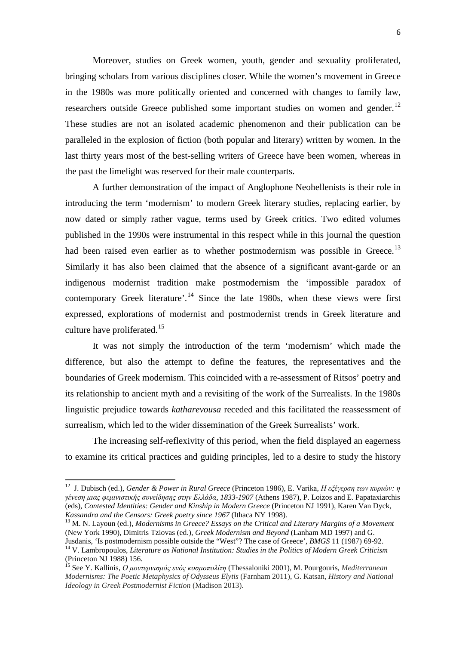Moreover, studies on Greek women, youth, gender and sexuality proliferated, bringing scholars from various disciplines closer. While the women's movement in Greece in the 1980s was more politically oriented and concerned with changes to family law, researchers outside Greece published some important studies on women and gender.<sup>[12](#page-6-0)</sup> These studies are not an isolated academic phenomenon and their publication can be paralleled in the explosion of fiction (both popular and literary) written by women. In the last thirty years most of the best-selling writers of Greece have been women, whereas in the past the limelight was reserved for their male counterparts.

A further demonstration of the impact of Anglophone Neohellenists is their role in introducing the term 'modernism' to modern Greek literary studies, replacing earlier, by now dated or simply rather vague, terms used by Greek critics. Two edited volumes published in the 1990s were instrumental in this respect while in this journal the question had been raised even earlier as to whether postmodernism was possible in Greece.<sup>[13](#page-6-1)</sup> Similarly it has also been claimed that the absence of a significant avant-garde or an indigenous modernist tradition make postmodernism the 'impossible paradox of contemporary Greek literature'.<sup>[14](#page-6-2)</sup> Since the late 1980s, when these views were first expressed, explorations of modernist and postmodernist trends in Greek literature and culture have proliferated.<sup>[15](#page-6-3)</sup>

It was not simply the introduction of the term 'modernism' which made the difference, but also the attempt to define the features, the representatives and the boundaries of Greek modernism. This coincided with a re-assessment of Ritsos' poetry and its relationship to ancient myth and a revisiting of the work of the Surrealists. In the 1980s linguistic prejudice towards *katharevousa* receded and this facilitated the reassessment of surrealism, which led to the wider dissemination of the Greek Surrealists' work.

The increasing self-reflexivity of this period, when the field displayed an eagerness to examine its critical practices and guiding principles, led to a desire to study the history

<span id="page-6-0"></span><sup>12</sup> J. Dubisch (ed.), *Gender & Power in Rural Greece* (Princeton 1986), E. Varika, *<sup>Η</sup> εξέγερση των κυριών: <sup>η</sup> γένεση μιας φεμινιστικής συνείδησης στην Ελλάδα, 1833-1907* (Athens 1987), P. Loizos and E. Papataxiarchis (eds), *Contested Identities: Gender and Kinship in Modern Greece* (Princeton NJ 1991), Karen Van Dyck,

<span id="page-6-1"></span><sup>&</sup>lt;sup>13</sup> M. N. Layoun (ed.), *Modernisms* in Greece? Essays on the Critical and Literary Margins of a Movement (New York 1990), Dimitris Tziovas (ed.), *Greek Modernism and Beyond* (Lanham MD 1997) and G.<br>Jusdanis, 'Is postmodernism possible outside the "West"? The case of Greece', *BMGS* 11 (1987) 69-92.

<span id="page-6-2"></span><sup>&</sup>lt;sup>14</sup> V. Lambropoulos, *Literature as National Institution: Studies in the Politics of Modern Greek Criticism* (Princeton NJ 1988) 156.

<span id="page-6-3"></span><sup>15</sup> See Y. Kallinis, *Ο μοντερνισμός ενός κοσμοπολίτη* (Thessaloniki 2001), M. Pourgouris, *Mediterranean Modernisms: The Poetic Metaphysics of Odysseus Elytis* (Farnham 2011), G. Katsan, *History and National Ideology in Greek Postmodernist Fiction* (Madison 2013).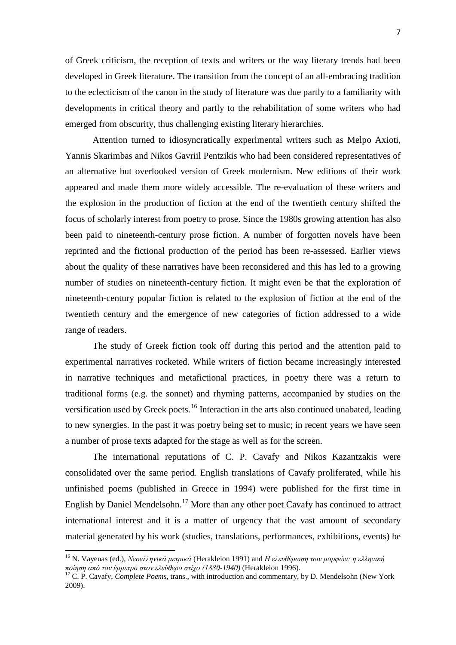of Greek criticism, the reception of texts and writers or the way literary trends had been developed in Greek literature. The transition from the concept of an all-embracing tradition to the eclecticism of the canon in the study of literature was due partly to a familiarity with developments in critical theory and partly to the rehabilitation of some writers who had emerged from obscurity, thus challenging existing literary hierarchies.

Attention turned to idiosyncratically experimental writers such as Melpo Axioti, Yannis Skarimbas and Nikos Gavriil Pentzikis who had been considered representatives of an alternative but overlooked version of Greek modernism. New editions of their work appeared and made them more widely accessible. The re-evaluation of these writers and the explosion in the production of fiction at the end of the twentieth century shifted the focus of scholarly interest from poetry to prose. Since the 1980s growing attention has also been paid to nineteenth-century prose fiction. A number of forgotten novels have been reprinted and the fictional production of the period has been re-assessed. Earlier views about the quality of these narratives have been reconsidered and this has led to a growing number of studies on nineteenth-century fiction. It might even be that the exploration of nineteenth-century popular fiction is related to the explosion of fiction at the end of the twentieth century and the emergence of new categories of fiction addressed to a wide range of readers.

The study of Greek fiction took off during this period and the attention paid to experimental narratives rocketed. While writers of fiction became increasingly interested in narrative techniques and metafictional practices, in poetry there was a return to traditional forms (e.g. the sonnet) and rhyming patterns, accompanied by studies on the versification used by Greek poets.<sup>[16](#page-7-0)</sup> Interaction in the arts also continued unabated, leading to new synergies. In the past it was poetry being set to music; in recent years we have seen a number of prose texts adapted for the stage as well as for the screen.

The international reputations of C. P. Cavafy and Nikos Kazantzakis were consolidated over the same period. English translations of Cavafy proliferated, while his unfinished poems (published in Greece in 1994) were published for the first time in English by Daniel Mendelsohn.<sup>[17](#page-7-1)</sup> More than any other poet Cavafy has continued to attract international interest and it is a matter of urgency that the vast amount of secondary material generated by his work (studies, translations, performances, exhibitions, events) be

<span id="page-7-0"></span><sup>16</sup> N. Vayenas (ed.), *Νεοελληνικά μετρικά* (Herakleion 1991) and *Η ελευθέρωση των μορφών: η ελληνική* 

<span id="page-7-1"></span>*ποίηση από τον έμμετρο στον ελεύθερο στίχο (1880-1940)* (Herakleion 1996). 17 C. P. Cavafy, *Complete Poems*, trans., with introduction and commentary, by D. Mendelsohn (New York 2009).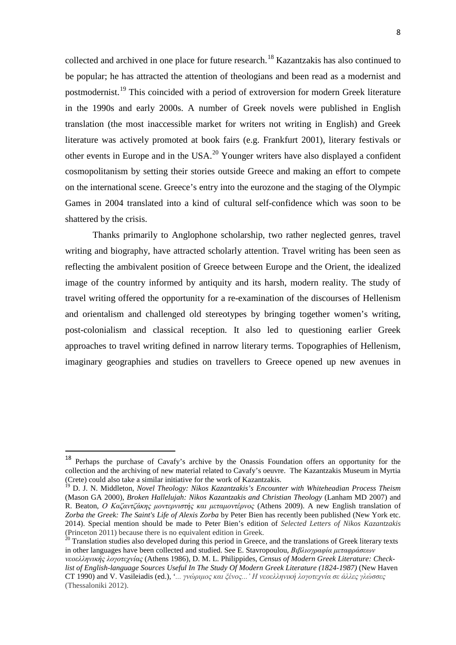collected and archived in one place for future research.<sup>[18](#page-8-0)</sup> Kazantzakis has also continued to be popular; he has attracted the attention of theologians and been read as a modernist and postmodernist.<sup>[19](#page-8-1)</sup> This coincided with a period of extroversion for modern Greek literature in the 1990s and early 2000s. A number of Greek novels were published in English translation (the most inaccessible market for writers not writing in English) and Greek literature was actively promoted at book fairs (e.g. Frankfurt 2001), literary festivals or other events in Europe and in the USA.<sup>[20](#page-8-2)</sup> Younger writers have also displayed a confident cosmopolitanism by setting their stories outside Greece and making an effort to compete on the international scene. Greece's entry into the eurozone and the staging of the Olympic Games in 2004 translated into a kind of cultural self-confidence which was soon to be shattered by the crisis.

Thanks primarily to Anglophone scholarship, two rather neglected genres, travel writing and biography, have attracted scholarly attention. Travel writing has been seen as reflecting the ambivalent position of Greece between Europe and the Orient, the idealized image of the country informed by antiquity and its harsh, modern reality. The study of travel writing offered the opportunity for a re-examination of the discourses of Hellenism and orientalism and challenged old stereotypes by bringing together women's writing, post-colonialism and classical reception. It also led to questioning earlier Greek approaches to travel writing defined in narrow literary terms. Topographies of Hellenism, imaginary geographies and studies on travellers to Greece opened up new avenues in

<span id="page-8-0"></span>Perhaps the purchase of Cavafy's archive by the Onassis Foundation offers an opportunity for the collection and the archiving of new material related to Cavafy's oeuvre. The Kazantzakis Museum in Myrtia (Crete) could also take a similar initiative for the work of Kazantzakis.

<span id="page-8-1"></span><sup>19</sup> D. J. N. Middleton, *Novel Theology: Nikos Kazantzakis's Encounter with Whiteheadian Process Theism* (Mason GA 2000), *Broken Hallelujah: Nikos Kazantzakis and Christian Theology* (Lanham MD 2007) and R. Beaton, *Ο Καζαντζάκης μοντερνιστής και μεταμοντέρνος* (Athens 2009). A new English translation of *Zorba the Greek: The Saint's Life of Alexis Zorba* by Peter Bien has recently been published (New York etc. 2014). Special mention should be made to Peter Bien's edition of *Selected Letters of Nikos Kazantzakis*

<span id="page-8-2"></span> $\frac{20}{20}$  Translation studies also developed during this period in Greece, and the translations of Greek literary texts in other languages have been collected and studied. See E. Stavropoulou, *Βιβλιογραφία μεταφράσεων νεοελληνικής λογοτεχνίας* (Athens 1986), D. M. L. Philippides, *[Census of Modern Greek Literature: Check](http://bham-primo.hosted.exlibrisgroup.com:1701/primo_library/libweb/action/display.do;jsessionid=8A6EE5138670B6C058F51146F36DA92E?tabs=detailsTab&ct=display&fn=search&doc=44BIR_ALEPH_DS000562780&indx=1&recIds=44BIR_ALEPH_DS000562780&recIdxs=0&elementId=0&renderMode=poppedOut&displayMode=full&frbrVersion=&dscnt=0&onCampus=false&shown_query=Dia+Philippides&query=any%2Ccontains%2CDia+Philippides&scp.scps=scope%3A%2844BIR_PDA1_DS%29%2Cscope%3A%2844BIR_ETH1_DS%29%2Cscope%3A%2844BIR_DR2_DS%29%2Cscope%3A%2844BIR_DR1_DS%29%2Cscope%3A%2844BIR_SFX_DS%29%2Cscope%3A%2844BIR_ML_DS%29%2Cscope%3A%2844BIR_RLIST_DS%29%2Cscope%3A%2844BIR_ALEPH_DS%29%2Cscope%3A%2844BIR_PURE_FT%29&tab=local&dstmp=1435180936812&dym=true&highlight=true&vl(98300991UI0)=any&search_scope=LSCOP_44BIR_ITL&displayField=title&bulkSize=10&vl(freeText0)=Dia%20Philippides&vid=44BIR_VU1&institution=44BIR)[list of English-language Sources Useful In The Study Of Modern Greek Literature \(1824-1987\)](http://bham-primo.hosted.exlibrisgroup.com:1701/primo_library/libweb/action/display.do;jsessionid=8A6EE5138670B6C058F51146F36DA92E?tabs=detailsTab&ct=display&fn=search&doc=44BIR_ALEPH_DS000562780&indx=1&recIds=44BIR_ALEPH_DS000562780&recIdxs=0&elementId=0&renderMode=poppedOut&displayMode=full&frbrVersion=&dscnt=0&onCampus=false&shown_query=Dia+Philippides&query=any%2Ccontains%2CDia+Philippides&scp.scps=scope%3A%2844BIR_PDA1_DS%29%2Cscope%3A%2844BIR_ETH1_DS%29%2Cscope%3A%2844BIR_DR2_DS%29%2Cscope%3A%2844BIR_DR1_DS%29%2Cscope%3A%2844BIR_SFX_DS%29%2Cscope%3A%2844BIR_ML_DS%29%2Cscope%3A%2844BIR_RLIST_DS%29%2Cscope%3A%2844BIR_ALEPH_DS%29%2Cscope%3A%2844BIR_PURE_FT%29&tab=local&dstmp=1435180936812&dym=true&highlight=true&vl(98300991UI0)=any&search_scope=LSCOP_44BIR_ITL&displayField=title&bulkSize=10&vl(freeText0)=Dia%20Philippides&vid=44BIR_VU1&institution=44BIR)* (New Haven CT 1990) and V. Vasileiadis (ed.), '*... γνώριμος και ξένος...' Η νεοελληνική λογοτεχνία σε άλλες γλώσσες* (Thessaloniki 2012).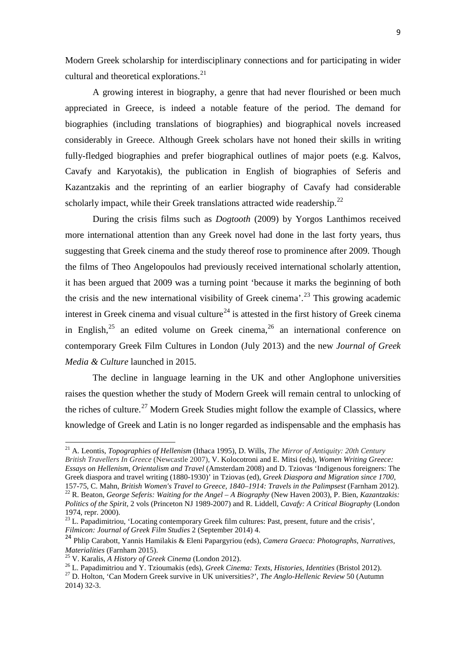Modern Greek scholarship for interdisciplinary connections and for participating in wider cultural and theoretical explorations. $^{21}$  $^{21}$  $^{21}$ 

A growing interest in biography, a genre that had never flourished or been much appreciated in Greece, is indeed a notable feature of the period. The demand for biographies (including translations of biographies) and biographical novels increased considerably in Greece. Although Greek scholars have not honed their skills in writing fully-fledged biographies and prefer biographical outlines of major poets (e.g. Kalvos, Cavafy and Karyotakis), the publication in English of biographies of Seferis and Kazantzakis and the reprinting of an earlier biography of Cavafy had considerable scholarly impact, while their Greek translations attracted wide readership.<sup>[22](#page-9-1)</sup>

During the crisis films such as *Dogtooth* (2009) by Yorgos Lanthimos received more international attention than any Greek novel had done in the last forty years, thus suggesting that Greek cinema and the study thereof rose to prominence after 2009. Though the films of Theo Angelopoulos had previously received international scholarly attention, it has been argued that 2009 was a turning point 'because it marks the beginning of both the crisis and the new international visibility of Greek cinema'.<sup>[23](#page-9-2)</sup> This growing academic interest in Greek cinema and visual culture<sup>[24](#page-9-3)</sup> is attested in the first history of Greek cinema in English, $^{25}$  $^{25}$  $^{25}$  an edited volume on Greek cinema,  $^{26}$  $^{26}$  $^{26}$  an international conference on contemporary Greek Film Cultures in London (July 2013) and the new *Journal of Greek Media & Culture* launched in 2015.

The decline in language learning in the UK and other Anglophone universities raises the question whether the study of Modern Greek will remain central to unlocking of the riches of culture.<sup>[27](#page-9-6)</sup> Modern Greek Studies might follow the example of Classics, where knowledge of Greek and Latin is no longer regarded as indispensable and the emphasis has

<span id="page-9-0"></span><sup>21</sup> A. Leontis, *Topographies of Hellenism* (Ithaca 1995), D. Wills, *The Mirror of Antiquity: 20th Century British Travellers In Greece* (Newcastle 2007), V. Kolocotroni and E. Mitsi (eds), *Women Writing Greece: Essays on Hellenism, Orientalism and Travel* (Amsterdam 2008) and D. Tziovas 'Indigenous foreigners: The Greek diaspora and travel writing (1880-1930)' in Tziovas (ed), *Greek Diaspora and Migration since 1700*,

<span id="page-9-1"></span><sup>157-75,</sup> C. Mahn, British Women's Travel to Greece, 1840–1914: Travels in the Palimpsest (Farnham 2012).<br><sup>22</sup> R. Beaton, George Seferis: Waiting for the Angel – A Biography (New Haven 2003), P. Bien, Kazantzakis: *Politics of the Spirit*, 2 vols (Princeton NJ 1989-2007) and R. Liddell, *Cavafy: A Critical Biography* (London 1974, repr. 2000).

<span id="page-9-2"></span><sup>&</sup>lt;sup>23</sup> L. Papadimitriou, 'Locating contemporary Greek film cultures: Past, present, future and the crisis', *Filmicon: Journal of Greek Film Studies* 2 (September 2014) 4.

<span id="page-9-3"></span><sup>24</sup> Phlip Carabott, Yannis Hamilakis & Eleni Papargyriou (eds), *Camera Graeca: Photographs, Narratives,* 

<span id="page-9-5"></span><span id="page-9-4"></span><sup>&</sup>lt;sup>25</sup> V. Karalis, *A History of Greek Cinema* (London 2012).<br><sup>26</sup> L. Papadimitriou and Y. Tzioumakis (eds), *Greek Cinema: Texts, Histories, Identities* (Bristol 2012).<br><sup>27</sup> D. Holton, 'Can Modern Greek survive in UK unive

<span id="page-9-6"></span><sup>2014) 32-3.</sup>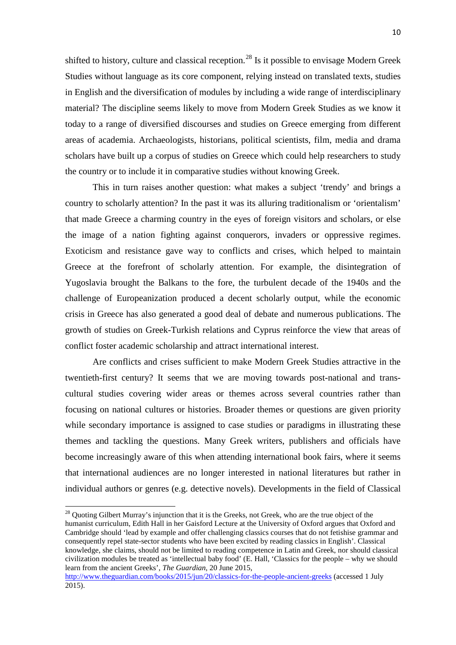shifted to history, culture and classical reception.<sup>[28](#page-10-0)</sup> Is it possible to envisage Modern Greek Studies without language as its core component, relying instead on translated texts, studies in English and the diversification of modules by including a wide range of interdisciplinary material? The discipline seems likely to move from Modern Greek Studies as we know it today to a range of diversified discourses and studies on Greece emerging from different areas of academia. Archaeologists, historians, political scientists, film, media and drama scholars have built up a corpus of studies on Greece which could help researchers to study the country or to include it in comparative studies without knowing Greek.

This in turn raises another question: what makes a subject 'trendy' and brings a country to scholarly attention? In the past it was its alluring traditionalism or 'orientalism' that made Greece a charming country in the eyes of foreign visitors and scholars, or else the image of a nation fighting against conquerors, invaders or oppressive regimes. Exoticism and resistance gave way to conflicts and crises, which helped to maintain Greece at the forefront of scholarly attention. For example, the disintegration of Yugoslavia brought the Balkans to the fore, the turbulent decade of the 1940s and the challenge of Europeanization produced a decent scholarly output, while the economic crisis in Greece has also generated a good deal of debate and numerous publications. The growth of studies on Greek-Turkish relations and Cyprus reinforce the view that areas of conflict foster academic scholarship and attract international interest.

Are conflicts and crises sufficient to make Modern Greek Studies attractive in the twentieth-first century? It seems that we are moving towards post-national and transcultural studies covering wider areas or themes across several countries rather than focusing on national cultures or histories. Broader themes or questions are given priority while secondary importance is assigned to case studies or paradigms in illustrating these themes and tackling the questions. Many Greek writers, publishers and officials have become increasingly aware of this when attending international book fairs, where it seems that international audiences are no longer interested in national literatures but rather in individual authors or genres (e.g. detective novels). Developments in the field of Classical

<span id="page-10-0"></span><sup>&</sup>lt;sup>28</sup> Quoting Gilbert Murray's injunction that it is the Greeks, not Greek, who are the true object of the humanist curriculum, Edith Hall in her Gaisford Lecture at the University of Oxford argues that Oxford and Cambridge should 'lead by example and offer challenging classics courses that do not fetishise grammar and consequently repel state-sector students who have been excited by reading classics in English'. Classical knowledge, she claims, should not be limited to reading competence in Latin and Greek, nor should classical civilization modules be treated as 'intellectual baby food' (E. Hall, 'Classics for the people – why we should learn from the ancient Greeks', *The Guardian*, 20 June 2015,

<http://www.theguardian.com/books/2015/jun/20/classics-for-the-people-ancient-greeks> (accessed 1 July 2015).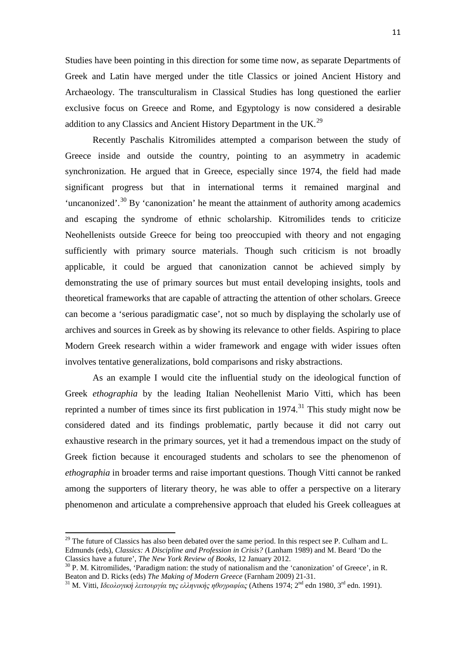Studies have been pointing in this direction for some time now, as separate Departments of Greek and Latin have merged under the title Classics or joined Ancient History and Archaeology. The transculturalism in Classical Studies has long questioned the earlier exclusive focus on Greece and Rome, and Egyptology is now considered a desirable addition to any Classics and Ancient History Department in the UK.<sup>[29](#page-11-0)</sup>

Recently Paschalis Kitromilides attempted a comparison between the study of Greece inside and outside the country, pointing to an asymmetry in academic synchronization. He argued that in Greece, especially since 1974, the field had made significant progress but that in international terms it remained marginal and 'uncanonized'.<sup>[30](#page-11-1)</sup> By 'canonization' he meant the attainment of authority among academics and escaping the syndrome of ethnic scholarship. Kitromilides tends to criticize Neohellenists outside Greece for being too preoccupied with theory and not engaging sufficiently with primary source materials. Though such criticism is not broadly applicable, it could be argued that canonization cannot be achieved simply by demonstrating the use of primary sources but must entail developing insights, tools and theoretical frameworks that are capable of attracting the attention of other scholars. Greece can become a 'serious paradigmatic case', not so much by displaying the scholarly use of archives and sources in Greek as by showing its relevance to other fields. Aspiring to place Modern Greek research within a wider framework and engage with wider issues often involves tentative generalizations, bold comparisons and risky abstractions.

As an example I would cite the influential study on the ideological function of Greek *ethographia* by the leading Italian Neohellenist Mario Vitti, which has been reprinted a number of times since its first publication in 1974.<sup>[31](#page-11-2)</sup> This study might now be considered dated and its findings problematic, partly because it did not carry out exhaustive research in the primary sources, yet it had a tremendous impact on the study of Greek fiction because it encouraged students and scholars to see the phenomenon of *ethographia* in broader terms and raise important questions. Though Vitti cannot be ranked among the supporters of literary theory, he was able to offer a perspective on a literary phenomenon and articulate a comprehensive approach that eluded his Greek colleagues at

<span id="page-11-0"></span> $29$  The future of Classics has also been debated over the same period. In this respect see P. Culham and L. Edmunds (eds), *Classics: A Discipline and Profession in Crisis?* (Lanham 1989) and M. Beard 'Do the

<span id="page-11-1"></span><sup>&</sup>lt;sup>30</sup> P. M. Kitromilides, 'Paradigm nation: the study of nationalism and the 'canonization' of Greece', in R. Beaton and D. Ricks (eds) *The Making of Modern Greece* (Farnham 2009) 21-31.

<span id="page-11-2"></span><sup>&</sup>lt;sup>31</sup> Μ. Vitti, Ιδεολογική λειτουργία της ελληνικής ηθογραφίας (Athens 1974; 2<sup>nd</sup> edn 1980, 3<sup>rd</sup> edn. 1991).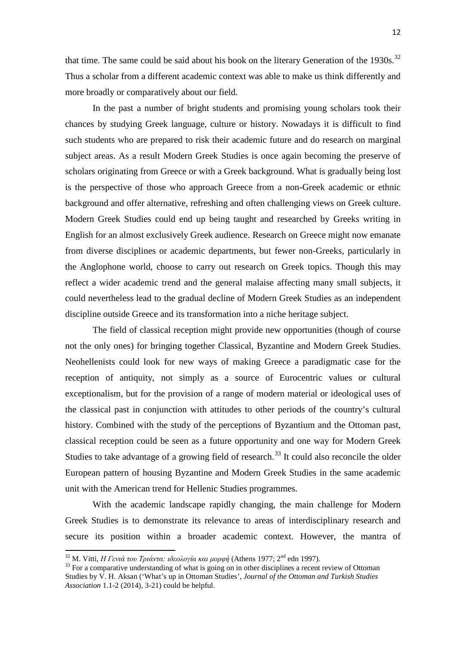that time. The same could be said about his book on the literary Generation of the 1930s.<sup>[32](#page-12-0)</sup> Thus a scholar from a different academic context was able to make us think differently and more broadly or comparatively about our field.

In the past a number of bright students and promising young scholars took their chances by studying Greek language, culture or history. Nowadays it is difficult to find such students who are prepared to risk their academic future and do research on marginal subject areas. As a result Modern Greek Studies is once again becoming the preserve of scholars originating from Greece or with a Greek background. What is gradually being lost is the perspective of those who approach Greece from a non-Greek academic or ethnic background and offer alternative, refreshing and often challenging views on Greek culture. Modern Greek Studies could end up being taught and researched by Greeks writing in English for an almost exclusively Greek audience. Research on Greece might now emanate from diverse disciplines or academic departments, but fewer non-Greeks, particularly in the Anglophone world, choose to carry out research on Greek topics. Though this may reflect a wider academic trend and the general malaise affecting many small subjects, it could nevertheless lead to the gradual decline of Modern Greek Studies as an independent discipline outside Greece and its transformation into a niche heritage subject.

The field of classical reception might provide new opportunities (though of course not the only ones) for bringing together Classical, Byzantine and Modern Greek Studies. Neohellenists could look for new ways of making Greece a paradigmatic case for the reception of antiquity, not simply as a source of Eurocentric values or cultural exceptionalism, but for the provision of a range of modern material or ideological uses of the classical past in conjunction with attitudes to other periods of the country's cultural history. Combined with the study of the perceptions of Byzantium and the Ottoman past, classical reception could be seen as a future opportunity and one way for Modern Greek Studies to take advantage of a growing field of research.<sup>[33](#page-12-1)</sup> It could also reconcile the older European pattern of housing Byzantine and Modern Greek Studies in the same academic unit with the American trend for Hellenic Studies programmes.

With the academic landscape rapidly changing, the main challenge for Modern Greek Studies is to demonstrate its relevance to areas of interdisciplinary research and secure its position within a broader academic context. However, the mantra of

<span id="page-12-1"></span><span id="page-12-0"></span><sup>&</sup>lt;sup>32</sup> M. Vitti, *Η Γενιά του Τριάντα: ιδεολογία και μορφή* (Athens 1977; 2<sup>nd</sup> edn 1997).<br><sup>33</sup> For a comparative understanding of what is going on in other disciplines a recent review of Ottoman Studies by V. H. Aksan ('What's up in Ottoman Studies', *Journal of the Ottoman and Turkish Studies Association* 1.1-2 (2014), 3-21) could be helpful.